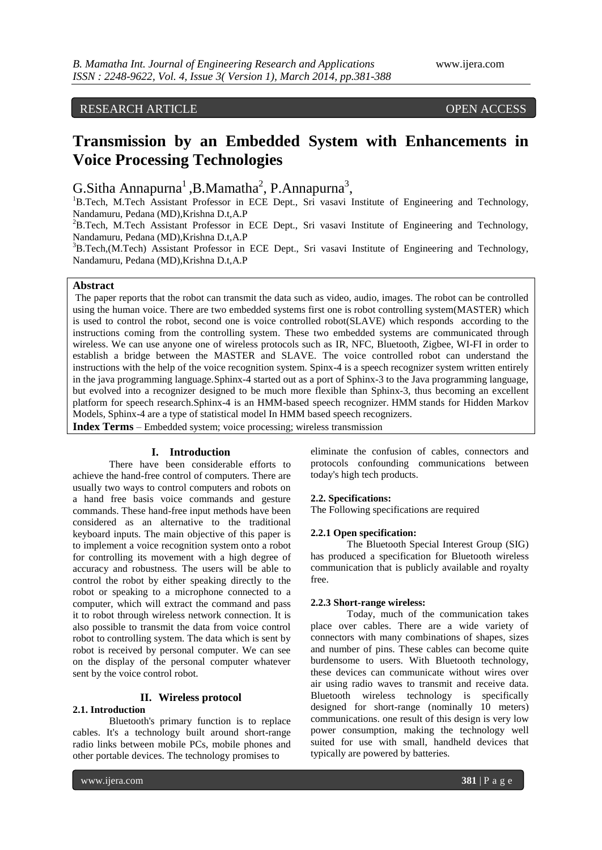## RESEARCH ARTICLE OPEN ACCESS

# **Transmission by an Embedded System with Enhancements in Voice Processing Technologies**

 $G.S$ itha [Annapurna](mailto:Annapurna0818@gmail.com)<sup>1</sup>, B.Mamatha<sup>2</sup>, P.Annapurna<sup>3</sup>,

<sup>1</sup>B.Tech, M.Tech Assistant Professor in ECE Dept., Sri vasavi Institute of Engineering and Technology, Nandamuru, Pedana (MD),Krishna D.t,A.P

<sup>2</sup>B.Tech, M.Tech Assistant Professor in ECE Dept., Sri vasavi Institute of Engineering and Technology, Nandamuru, Pedana (MD),Krishna D.t,A.P

<sup>3</sup>B.Tech,(M.Tech) Assistant Professor in ECE Dept., Sri vasavi Institute of Engineering and Technology, Nandamuru, Pedana (MD),Krishna D.t,A.P

## **Abstract**

The paper reports that the robot can transmit the data such as video, audio, images. The robot can be controlled using the human voice. There are two embedded systems first one is robot controlling system(MASTER) which is used to control the robot, second one is voice controlled robot(SLAVE) which responds according to the instructions coming from the controlling system. These two embedded systems are communicated through wireless. We can use anyone one of wireless protocols such as IR, NFC, Bluetooth, Zigbee, WI-FI in order to establish a bridge between the MASTER and SLAVE. The voice controlled robot can understand the instructions with the help of the voice recognition system. Spinx-4 is a speech recognizer system written entirely in the java programming language.Sphinx-4 started out as a port of Sphinx-3 to the Java programming language, but evolved into a recognizer designed to be much more flexible than Sphinx-3, thus becoming an excellent platform for speech research.Sphinx-4 is an HMM-based speech recognizer. HMM stands for Hidden Markov Models, Sphinx-4 are a type of statistical model In HMM based speech recognizers.

**Index Terms** – Embedded system; voice processing; wireless transmission

#### **I. Introduction**

There have been considerable efforts to achieve the hand-free control of computers. There are usually two ways to control computers and robots on a hand free basis voice commands and gesture commands. These hand-free input methods have been considered as an alternative to the traditional keyboard inputs. The main objective of this paper is to implement a voice recognition system onto a robot for controlling its movement with a high degree of accuracy and robustness. The users will be able to control the robot by either speaking directly to the robot or speaking to a microphone connected to a computer, which will extract the command and pass it to robot through wireless network connection. It is also possible to transmit the data from voice control robot to controlling system. The data which is sent by robot is received by personal computer. We can see on the display of the personal computer whatever sent by the voice control robot.

## **II. Wireless protocol**

## **2.1. Introduction**

Bluetooth's primary function is to replace cables. It's a technology built around short-range radio links between mobile PCs, mobile phones and other portable devices. The technology promises to

eliminate the confusion of cables, connectors and protocols confounding communications between today's high tech products.

#### **2.2. Specifications:**

The Following specifications are required

#### **2.2.1 Open specification:**

The Bluetooth Special Interest Group (SIG) has produced a specification for Bluetooth wireless communication that is publicly available and royalty free.

#### **2.2.3 Short-range wireless:**

Today, much of the communication takes place over cables. There are a wide variety of connectors with many combinations of shapes, sizes and number of pins. These cables can become quite burdensome to users. With Bluetooth technology, these devices can communicate without wires over air using radio waves to transmit and receive data. Bluetooth wireless technology is specifically designed for short-range (nominally 10 meters) communications. one result of this design is very low power consumption, making the technology well suited for use with small, handheld devices that typically are powered by batteries.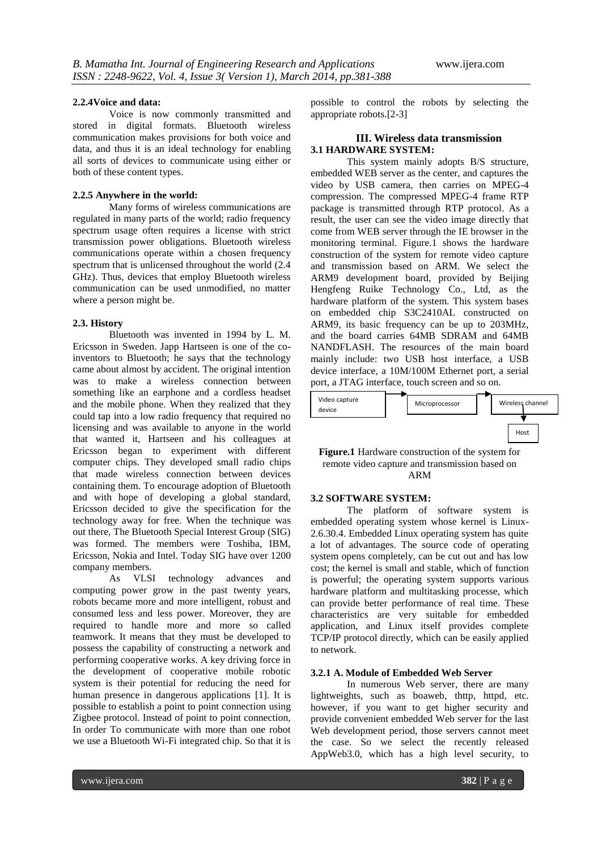## **2.2.4Voice and data:**

Voice is now commonly transmitted and stored in digital formats. Bluetooth wireless communication makes provisions for both voice and data, and thus it is an ideal technology for enabling all sorts of devices to communicate using either or both of these content types.

## **2.2.5 Anywhere in the world:**

Many forms of wireless communications are regulated in many parts of the world; radio frequency spectrum usage often requires a license with strict transmission power obligations. Bluetooth wireless communications operate within a chosen frequency spectrum that is unlicensed throughout the world (2.4 GHz). Thus, devices that employ Bluetooth wireless communication can be used unmodified, no matter where a person might be.

## **2.3. History**

Bluetooth was invented in 1994 by L. M. Ericsson in Sweden. Japp Hartseen is one of the coinventors to Bluetooth; he says that the technology came about almost by accident. The original intention was to make a wireless connection between something like an earphone and a cordless headset and the mobile phone. When they realized that they could tap into a low radio frequency that required no licensing and was available to anyone in the world that wanted it, Hartseen and his colleagues at Ericsson began to experiment with different computer chips. They developed small radio chips that made wireless connection between devices containing them. To encourage adoption of Bluetooth and with hope of developing a global standard, Ericsson decided to give the specification for the technology away for free. When the technique was out there, The Bluetooth Special Interest Group (SIG) was formed. The members were Toshiba, IBM, Ericsson, Nokia and Intel. Today SIG have over 1200 company members.

As VLSI technology advances and computing power grow in the past twenty years, robots became more and more intelligent, robust and consumed less and less power. Moreover, they are required to handle more and more so called teamwork. It means that they must be developed to possess the capability of constructing a network and performing cooperative works. A key driving force in the development of cooperative mobile robotic system is their potential for reducing the need for human presence in dangerous applications [1]. It is possible to establish a point to point connection using Zigbee protocol. Instead of point to point connection, In order To communicate with more than one robot we use a Bluetooth Wi-Fi integrated chip. So that it is

possible to control the robots by selecting the appropriate robots.[2-3]

## **III. Wireless data transmission 3.1 HARDWARE SYSTEM:**

This system mainly adopts B/S structure, embedded WEB server as the center, and captures the video by USB camera, then carries on MPEG-4 compression. The compressed MPEG-4 frame RTP package is transmitted through RTP protocol. As a result, the user can see the video image directly that come from WEB server through the IE browser in the monitoring terminal. Figure.1 shows the hardware construction of the system for remote video capture and transmission based on ARM. We select the ARM9 development board, provided by Beijing Hengfeng Ruike Technology Co., Ltd, as the hardware platform of the system. This system bases on embedded chip S3C2410AL constructed on ARM9, its basic frequency can be up to 203MHz, and the board carries 64MB SDRAM and 64MB NANDFLASH. The resources of the main board mainly include: two USB host interface, a USB device interface, a 10M/100M Ethernet port, a serial port, a JTAG interface, touch screen and so on.



#### **Figure.1** Hardware construction of the system for remote video capture and transmission based on ARM

#### **3.2 SOFTWARE SYSTEM:**

The platform of software system is embedded operating system whose kernel is Linux-2.6.30.4. Embedded Linux operating system has quite a lot of advantages. The source code of operating system opens completely, can be cut out and has low cost; the kernel is small and stable, which of function is powerful; the operating system supports various hardware platform and multitasking processe, which can provide better performance of real time. These characteristics are very suitable for embedded application, and Linux itself provides complete TCP/IP protocol directly, which can be easily applied to network.

#### **3.2.1 A. Module of Embedded Web Server**

In numerous Web server, there are many lightweights, such as boaweb, thttp, httpd, etc. however, if you want to get higher security and provide convenient embedded Web server for the last Web development period, those servers cannot meet the case. So we select the recently released AppWeb3.0, which has a high level security, to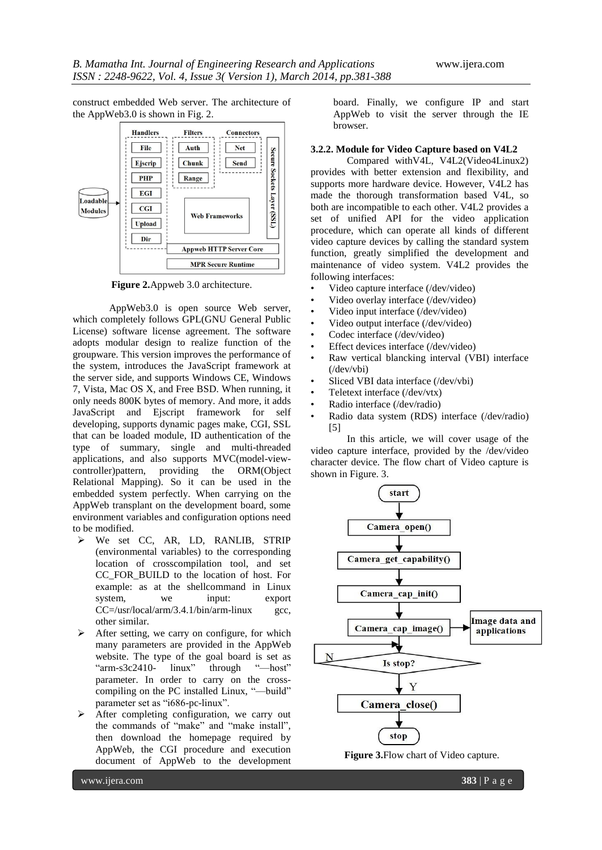construct embedded Web server. The architecture of the AppWeb3.0 is shown in Fig. 2.



**Figure 2.**Appweb 3.0 architecture.

AppWeb3.0 is open source Web server, which completely follows GPL(GNU General Public License) software license agreement. The software adopts modular design to realize function of the groupware. This version improves the performance of the system, introduces the JavaScript framework at the server side, and supports Windows CE, Windows 7, Vista, Mac OS X, and Free BSD. When running, it only needs 800K bytes of memory. And more, it adds JavaScript and Ejscript framework for self developing, supports dynamic pages make, CGI, SSL that can be loaded module, ID authentication of the type of summary, single and multi-threaded applications, and also supports MVC(model-viewcontroller)pattern, providing the ORM(Object Relational Mapping). So it can be used in the embedded system perfectly. When carrying on the AppWeb transplant on the development board, some environment variables and configuration options need to be modified.

- We set CC, AR, LD, RANLIB, STRIP (environmental variables) to the corresponding location of crosscompilation tool, and set CC\_FOR\_BUILD to the location of host. For example: as at the shellcommand in Linux system, we input: export  $CC = /usr/local/arm/3.4.1/bin/arm-linkx$  gcc, other similar.
- $\triangleright$  After setting, we carry on configure, for which many parameters are provided in the AppWeb website. The type of the goal board is set as "arm-s3c2410- linux" through "-host" parameter. In order to carry on the crosscompiling on the PC installed Linux, "—build" parameter set as "i686-pc-linux".
- After completing configuration, we carry out the commands of "make" and "make install", then download the homepage required by AppWeb, the CGI procedure and execution document of AppWeb to the development

board. Finally, we configure IP and start AppWeb to visit the server through the IE browser.

## **3.2.2. Module for Video Capture based on V4L2**

Compared withV4L, V4L2(Video4Linux2) provides with better extension and flexibility, and supports more hardware device. However, V4L2 has made the thorough transformation based V4L, so both are incompatible to each other. V4L2 provides a set of unified API for the video application procedure, which can operate all kinds of different video capture devices by calling the standard system function, greatly simplified the development and maintenance of video system. V4L2 provides the following interfaces:

- Video capture interface (/dev/video)
- Video overlay interface (/dev/video)
- Video input interface (/dev/video)
- Video output interface (/dev/video)
- Codec interface (/dev/video)
- Effect devices interface (/dev/video)
- Raw vertical blancking interval (VBI) interface (/dev/vbi)
- Sliced VBI data interface (/dev/vbi)
- Teletext interface (/dev/vtx)
- Radio interface (/dev/radio)
- Radio data system (RDS) interface (/dev/radio) [5]

In this article, we will cover usage of the video capture interface, provided by the /dev/video character device. The flow chart of Video capture is shown in Figure. 3.



**Figure 3.**Flow chart of Video capture.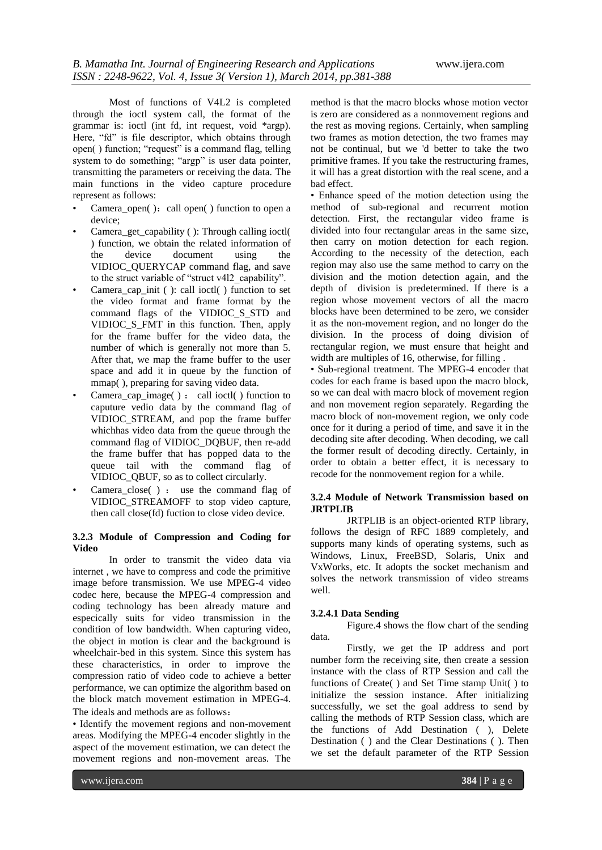Most of functions of V4L2 is completed through the ioctl system call, the format of the grammar is: ioctl (int fd, int request, void \*argp). Here, "fd" is file descriptor, which obtains through open() function; "request" is a command flag, telling system to do something; "argp" is user data pointer, transmitting the parameters or receiving the data. The main functions in the video capture procedure represent as follows:

- Camera\_open( ): call open( ) function to open a device;
- Camera get capability ( ): Through calling ioctl( ) function, we obtain the related information of the device document using the VIDIOC\_OUERYCAP command flag, and save to the struct variable of "struct v4l2\_capability".
- Camera\_cap\_init ( ): call ioctl( ) function to set the video format and frame format by the command flags of the VIDIOC\_S\_STD and VIDIOC\_S\_FMT in this function. Then, apply for the frame buffer for the video data, the number of which is generally not more than 5. After that, we map the frame buffer to the user space and add it in queue by the function of mmap( ), preparing for saving video data.
- Camera\_cap\_image() : call ioctl() function to caputure vedio data by the command flag of VIDIOC\_STREAM, and pop the frame buffer whichhas video data from the queue through the command flag of VIDIOC\_DQBUF, then re-add the frame buffer that has popped data to the queue tail with the command flag of VIDIOC\_QBUF, so as to collect circularly.
- Camera\_close() : use the command flag of VIDIOC\_STREAMOFF to stop video capture, then call close(fd) fuction to close video device.

## **3.2.3 Module of Compression and Coding for Video**

In order to transmit the video data via internet , we have to compress and code the primitive image before transmission. We use MPEG-4 video codec here, because the MPEG-4 compression and coding technology has been already mature and especically suits for video transmission in the condition of low bandwidth. When capturing video, the object in motion is clear and the background is wheelchair-bed in this system. Since this system has these characteristics, in order to improve the compression ratio of video code to achieve a better performance, we can optimize the algorithm based on the block match movement estimation in MPEG-4. The ideals and methods are as follows:

• Identify the movement regions and non-movement areas. Modifying the MPEG-4 encoder slightly in the aspect of the movement estimation, we can detect the movement regions and non-movement areas. The

method is that the macro blocks whose motion vector is zero are considered as a nonmovement regions and the rest as moving regions. Certainly, when sampling two frames as motion detection, the two frames may not be continual, but we 'd better to take the two primitive frames. If you take the restructuring frames, it will has a great distortion with the real scene, and a bad effect.

• Enhance speed of the motion detection using the method of sub-regional and recurrent motion detection. First, the rectangular video frame is divided into four rectangular areas in the same size, then carry on motion detection for each region. According to the necessity of the detection, each region may also use the same method to carry on the division and the motion detection again, and the depth of division is predetermined. If there is a region whose movement vectors of all the macro blocks have been determined to be zero, we consider it as the non-movement region, and no longer do the division. In the process of doing division of rectangular region, we must ensure that height and width are multiples of 16, otherwise, for filling .

• Sub-regional treatment. The MPEG-4 encoder that codes for each frame is based upon the macro block, so we can deal with macro block of movement region and non movement region separately. Regarding the macro block of non-movement region, we only code once for it during a period of time, and save it in the decoding site after decoding. When decoding, we call the former result of decoding directly. Certainly, in order to obtain a better effect, it is necessary to recode for the nonmovement region for a while.

## **3.2.4 Module of Network Transmission based on JRTPLIB**

JRTPLIB is an object-oriented RTP library, follows the design of RFC 1889 completely, and supports many kinds of operating systems, such as Windows, Linux, FreeBSD, Solaris, Unix and VxWorks, etc. It adopts the socket mechanism and solves the network transmission of video streams well.

## **3.2.4.1 Data Sending**

Figure.4 shows the flow chart of the sending data.

Firstly, we get the IP address and port number form the receiving site, then create a session instance with the class of RTP Session and call the functions of Create( ) and Set Time stamp Unit( ) to initialize the session instance. After initializing successfully, we set the goal address to send by calling the methods of RTP Session class, which are the functions of Add Destination ( ), Delete Destination ( ) and the Clear Destinations ( ). Then we set the default parameter of the RTP Session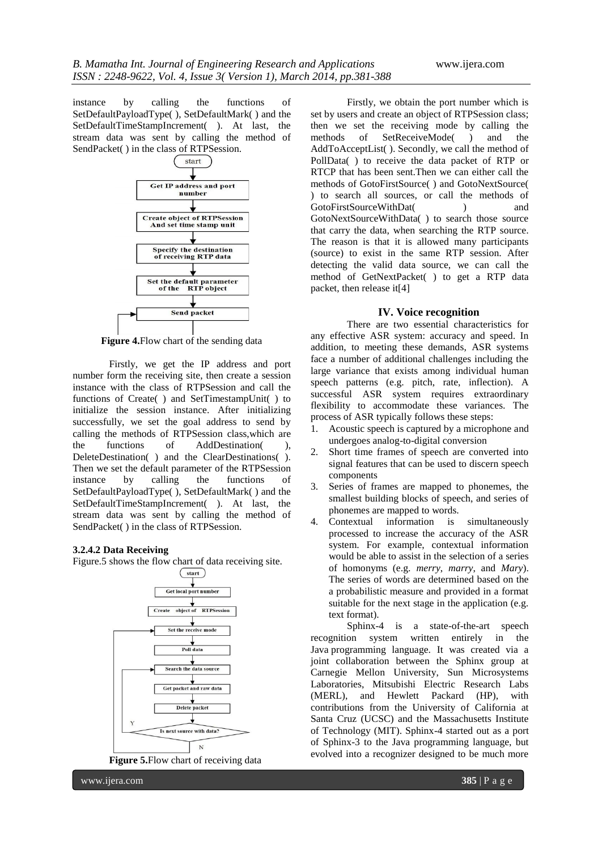instance by calling the functions of SetDefaultPayloadType( ), SetDefaultMark( ) and the SetDefaultTimeStampIncrement( ). At last, the stream data was sent by calling the method of SendPacket() in the class of RTPSession.



**Figure 4.**Flow chart of the sending data

Firstly, we get the IP address and port number form the receiving site, then create a session instance with the class of RTPSession and call the functions of Create( ) and SetTimestampUnit( ) to initialize the session instance. After initializing successfully, we set the goal address to send by calling the methods of RTPSession class,which are the functions of AddDestination( ), DeleteDestination( ) and the ClearDestinations( ). Then we set the default parameter of the RTPSession instance by calling the functions of SetDefaultPayloadType( ), SetDefaultMark( ) and the SetDefaultTimeStampIncrement( ). At last, the stream data was sent by calling the method of SendPacket( ) in the class of RTPSession.

## **3.2.4.2 Data Receiving**

Figure.5 shows the flow chart of data receiving site.



**Figure 5.**Flow chart of receiving data

Firstly, we obtain the port number which is set by users and create an object of RTPSession class; then we set the receiving mode by calling the methods of SetReceiveMode( ) and the AddToAcceptList( ). Secondly, we call the method of PollData( ) to receive the data packet of RTP or RTCP that has been sent.Then we can either call the methods of GotoFirstSource( ) and GotoNextSource( ) to search all sources, or call the methods of GotoFirstSourceWithDat( ) and GotoNextSourceWithData( ) to search those source that carry the data, when searching the RTP source. The reason is that it is allowed many participants (source) to exist in the same RTP session. After detecting the valid data source, we can call the method of GetNextPacket( ) to get a RTP data packet, then release it[4]

#### **IV. Voice recognition**

There are two essential characteristics for any effective ASR system: accuracy and speed. In addition, to meeting these demands, ASR systems face a number of additional challenges including the large variance that exists among individual human speech patterns (e.g. pitch, rate, inflection). A successful ASR system requires extraordinary flexibility to accommodate these variances. The process of ASR typically follows these steps:

- 1. Acoustic speech is captured by a microphone and undergoes analog-to-digital conversion
- 2. Short time frames of speech are converted into signal features that can be used to discern speech components
- 3. Series of frames are mapped to phonemes, the smallest building blocks of speech, and series of phonemes are mapped to words.
- 4. Contextual information is simultaneously processed to increase the accuracy of the ASR system. For example, contextual information would be able to assist in the selection of a series of homonyms (e.g. *merry*, *marry*, and *Mary*). The series of words are determined based on the a probabilistic measure and provided in a format suitable for the next stage in the application (e.g. text format).

Sphinx-4 is a state-of-the-art speech recognition system written entirely in the Java programming language. It was created via a joint collaboration between the Sphinx group at Carnegie Mellon University, Sun Microsystems Laboratories, Mitsubishi Electric Research Labs (MERL), and Hewlett Packard (HP), with contributions from the University of California at Santa Cruz (UCSC) and the Massachusetts Institute of Technology (MIT). Sphinx-4 started out as a port of Sphinx-3 to the Java programming language, but evolved into a recognizer designed to be much more

www.ijera.com **385** | P a g e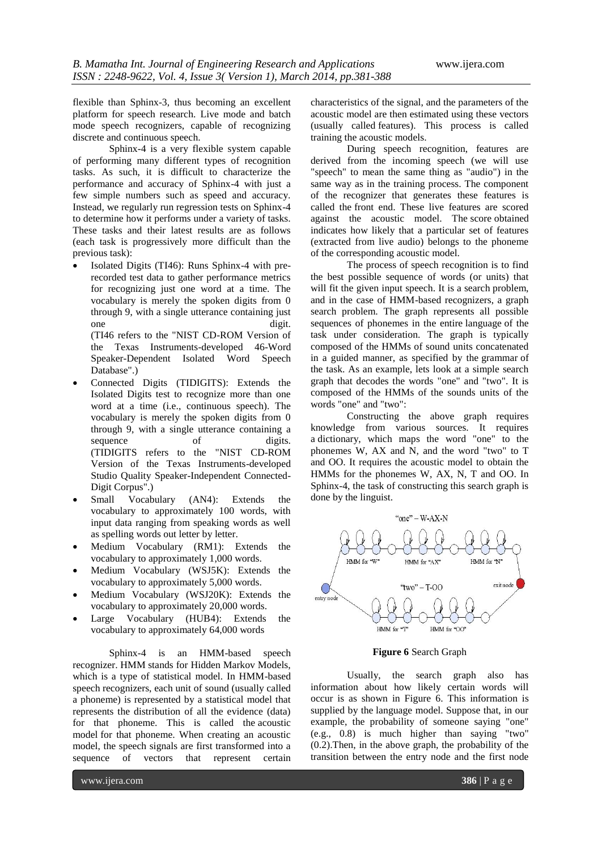flexible than Sphinx-3, thus becoming an excellent platform for speech research. Live mode and batch mode speech recognizers, capable of recognizing discrete and continuous speech.

Sphinx-4 is a very flexible system capable of performing many different types of recognition tasks. As such, it is difficult to characterize the performance and accuracy of Sphinx-4 with just a few simple numbers such as speed and accuracy. Instead, we regularly run regression tests on Sphinx-4 to determine how it performs under a variety of tasks. These tasks and their latest results are as follows (each task is progressively more difficult than the previous task):

- Isolated Digits (TI46): Runs Sphinx-4 with prerecorded test data to gather performance metrics for recognizing just one word at a time. The vocabulary is merely the spoken digits from 0 through 9, with a single utterance containing just one digit. (TI46 refers to the "NIST CD-ROM Version of the Texas Instruments-developed 46-Word Speaker-Dependent Isolated Word Speech Database".)
- Connected Digits (TIDIGITS): Extends the Isolated Digits test to recognize more than one word at a time (i.e., continuous speech). The vocabulary is merely the spoken digits from 0 through 9, with a single utterance containing a sequence of digits. (TIDIGITS refers to the "NIST CD-ROM Version of the Texas Instruments-developed Studio Quality Speaker-Independent Connected-Digit Corpus".)
- Small Vocabulary (AN4): Extends the vocabulary to approximately 100 words, with input data ranging from speaking words as well as spelling words out letter by letter.
- Medium Vocabulary (RM1): Extends the vocabulary to approximately 1,000 words.
- Medium Vocabulary (WSJ5K): Extends the vocabulary to approximately 5,000 words.
- Medium Vocabulary (WSJ20K): Extends the vocabulary to approximately 20,000 words.
- Large Vocabulary (HUB4): Extends the vocabulary to approximately 64,000 words

Sphinx-4 is an HMM-based speech recognizer. HMM stands for Hidden Markov Models, which is a type of statistical model. In HMM-based speech recognizers, each unit of sound (usually called a phoneme) is represented by a statistical model that represents the distribution of all the evidence (data) for that phoneme. This is called the acoustic model for that phoneme. When creating an acoustic model, the speech signals are first transformed into a sequence of vectors that represent certain

characteristics of the signal, and the parameters of the acoustic model are then estimated using these vectors (usually called features). This process is called training the acoustic models.

During speech recognition, features are derived from the incoming speech (we will use "speech" to mean the same thing as "audio") in the same way as in the training process. The component of the recognizer that generates these features is called the front end. These live features are scored against the acoustic model. The score obtained indicates how likely that a particular set of features (extracted from live audio) belongs to the phoneme of the corresponding acoustic model.

The process of speech recognition is to find the best possible sequence of words (or units) that will fit the given input speech. It is a search problem, and in the case of HMM-based recognizers, a graph search problem. The graph represents all possible sequences of phonemes in the entire language of the task under consideration. The graph is typically composed of the HMMs of sound units concatenated in a guided manner, as specified by the grammar of the task. As an example, lets look at a simple search graph that decodes the words "one" and "two". It is composed of the HMMs of the sounds units of the words "one" and "two":

Constructing the above graph requires knowledge from various sources. It requires a dictionary, which maps the word "one" to the phonemes W, AX and N, and the word "two" to T and OO. It requires the acoustic model to obtain the HMMs for the phonemes W, AX, N, T and OO. In Sphinx-4, the task of constructing this search graph is done by the linguist.



**Figure 6** Search Graph

Usually, the search graph also has information about how likely certain words will occur is as shown in Figure 6. This information is supplied by the language model. Suppose that, in our example, the probability of someone saying "one" (e.g., 0.8) is much higher than saying "two" (0.2).Then, in the above graph, the probability of the transition between the entry node and the first node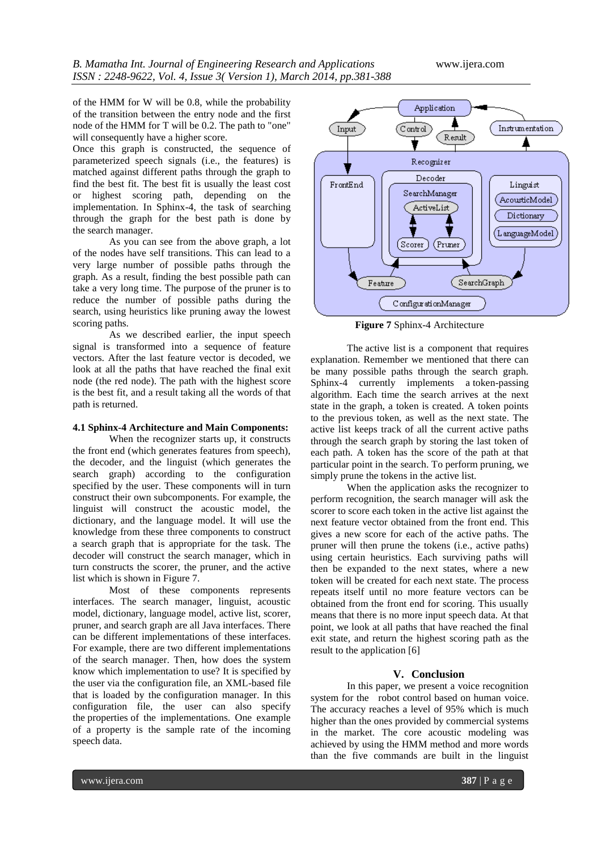of the HMM for W will be 0.8, while the probability of the transition between the entry node and the first node of the HMM for T will be 0.2. The path to "one" will consequently have a higher score.

Once this graph is constructed, the sequence of parameterized speech signals (i.e., the features) is matched against different paths through the graph to find the best fit. The best fit is usually the least cost or highest scoring path, depending on the implementation. In Sphinx-4, the task of searching through the graph for the best path is done by the search manager.

As you can see from the above graph, a lot of the nodes have self transitions. This can lead to a very large number of possible paths through the graph. As a result, finding the best possible path can take a very long time. The purpose of the pruner is to reduce the number of possible paths during the search, using heuristics like pruning away the lowest scoring paths.

As we described earlier, the input speech signal is transformed into a sequence of feature vectors. After the last feature vector is decoded, we look at all the paths that have reached the final exit node (the red node). The path with the highest score is the best fit, and a result taking all the words of that path is returned.

## **4.1 Sphinx-4 Architecture and Main Components:**

When the recognizer starts up, it constructs the front end (which generates features from speech), the decoder, and the linguist (which generates the search graph) according to the configuration specified by the user. These components will in turn construct their own subcomponents. For example, the linguist will construct the acoustic model, the dictionary, and the language model. It will use the knowledge from these three components to construct a search graph that is appropriate for the task. The decoder will construct the search manager, which in turn constructs the scorer, the pruner, and the active list which is shown in Figure 7.

Most of these components represents interfaces. The search manager, linguist, acoustic model, dictionary, language model, active list, scorer, pruner, and search graph are all Java interfaces. There can be different implementations of these interfaces. For example, there are two different implementations of the search manager. Then, how does the system know which implementation to use? It is specified by the user via the configuration file, an XML-based file that is loaded by the configuration manager. In this configuration file, the user can also specify the properties of the implementations. One example of a property is the sample rate of the incoming speech data.



**Figure 7** Sphinx-4 Architecture

The active list is a component that requires explanation. Remember we mentioned that there can be many possible paths through the search graph. Sphinx-4 currently implements a token-passing algorithm. Each time the search arrives at the next state in the graph, a token is created. A token points to the previous token, as well as the next state. The active list keeps track of all the current active paths through the search graph by storing the last token of each path. A token has the score of the path at that particular point in the search. To perform pruning, we simply prune the tokens in the active list.

When the application asks the recognizer to perform recognition, the search manager will ask the scorer to score each token in the active list against the next feature vector obtained from the front end. This gives a new score for each of the active paths. The pruner will then prune the tokens (i.e., active paths) using certain heuristics. Each surviving paths will then be expanded to the next states, where a new token will be created for each next state. The process repeats itself until no more feature vectors can be obtained from the front end for scoring. This usually means that there is no more input speech data. At that point, we look at all paths that have reached the final exit state, and return the highest scoring path as the result to the application [6]

## **V. Conclusion**

In this paper, we present a voice recognition system for the robot control based on human voice. The accuracy reaches a level of 95% which is much higher than the ones provided by commercial systems in the market. The core acoustic modeling was achieved by using the HMM method and more words than the five commands are built in the linguist